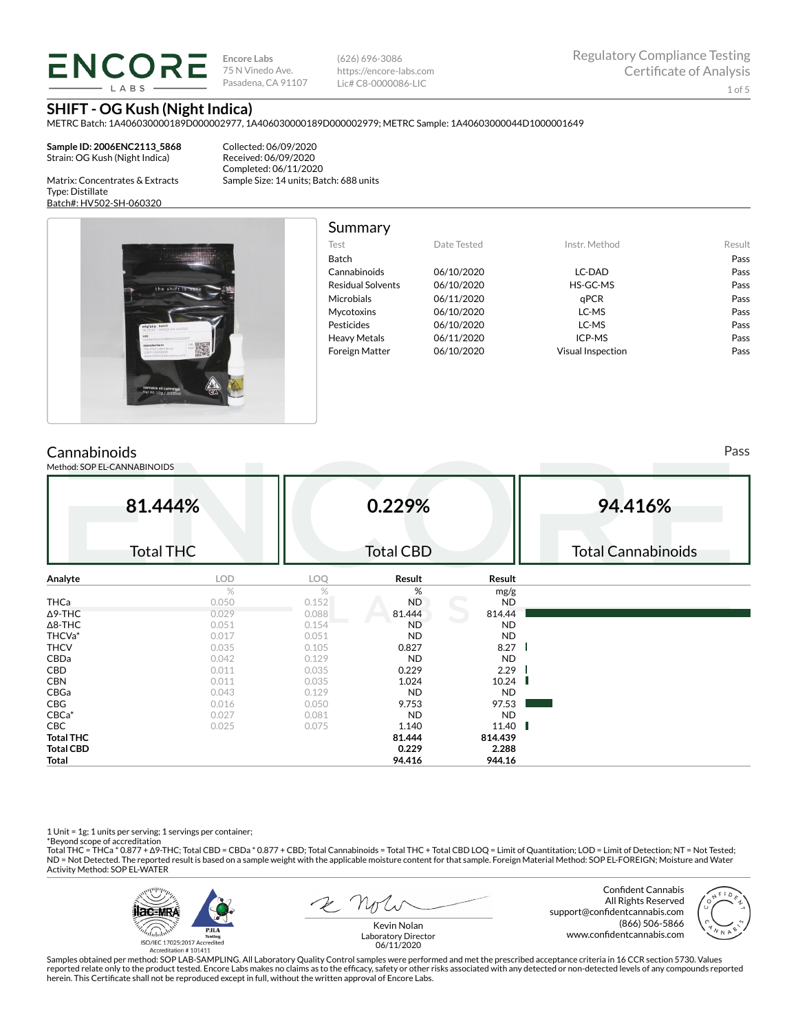# **ENCORE**

**Encore Labs** 75 N Vinedo Ave. Pasadena, CA 91107

(626) 696-3086 https://encore-labs.com Lic# C8-0000086-LIC

**SHIFT - OG Kush (Night Indica)**

METRC Batch: 1A406030000189D000002977, 1A406030000189D000002979; METRC Sample: 1A40603000044D1000001649

**Sample ID: 2006ENC2113\_5868** Strain: OG Kush (Night Indica)

Collected: 06/09/2020 Received: 06/09/2020 Completed: 06/11/2020 Sample Size: 14 units; Batch: 688 units

Matrix: Concentrates & Extracts Type: Distillate Batch#: HV502-SH-060320

Cummary

| -------------------                                                                             |
|-------------------------------------------------------------------------------------------------|
| ************************                                                                        |
| the shift is here                                                                               |
|                                                                                                 |
| mfg/pkg batch<br>06.03.20 HVS02-SH-060320<br>UID<br>1A406030000189D000002977                    |
| lab<br>manufacturer<br>tes<br>The Hive Laboratory<br>CDPH-10002269<br>www.thehrveiaboratory.com |
|                                                                                                 |
| cannabis oil cartrdige<br>Net Wt. 1.0g / 0.035oz                                                |
|                                                                                                 |

| <b>Summary</b>           |             |                          |        |
|--------------------------|-------------|--------------------------|--------|
| Test                     | Date Tested | Instr. Method            | Result |
| <b>Batch</b>             |             |                          | Pass   |
| Cannabinoids             | 06/10/2020  | LC-DAD                   | Pass   |
| <b>Residual Solvents</b> | 06/10/2020  | HS-GC-MS                 | Pass   |
| Microbials               | 06/11/2020  | aPCR                     | Pass   |
| Mycotoxins               | 06/10/2020  | LC-MS                    | Pass   |
| Pesticides               | 06/10/2020  | LC-MS                    | Pass   |
| <b>Heavy Metals</b>      | 06/11/2020  | ICP-MS                   | Pass   |
| <b>Foreign Matter</b>    | 06/10/2020  | <b>Visual Inspection</b> | Pass   |

### **Cannabinoids**

Method: SOP EL-CANNABINOIDS

**81.444%** Total THC **0.229%** Total CBD **94.416%** Total Cannabinoids **Analyte LOD LOQ Result Result** %  $\%$  mg/g **THCa** 0.050 0.152 ND ND ND  $\Delta$ 9-THC 814.44 814.44  $\Delta$ 8-THC ND ND THCVa\* 0.017 0.051 ND ND **THCV 6.035 0.035 0.105 0.827 8.27** CBDa 0.042 0.129 ND ND **CBD** 0.011 0.035 **0.229 2.29** 2.29 **CBN** 0.011 0.035 **1.024 10.24** 10.24 CBGa 0.043 0.129 ND ND **CBG** 97.53 97.53 CBCa\* 0.027 0.081 ND ND **CBC** 0.025 0.075 **1.140 11.40 Total THC 81.444 814.439 Total CBD 0.229 2.288 Total 94.416 944.16**

1 Unit = 1g; 1 units per serving; 1 servings per container;

\*Beyond scope of accreditation<br>Total THC = THCa \* 0.877 + ∆9-THC; Total CBD = CBDa \* 0.877 + CBD; Total Cannabinoids = Total THC + Total CBD LOQ = Limit of Quantitation; LOD = Limit of Detection; NT = Not Tested; ND = Not Detected. The reported result is based on a sample weight with the applicable moisture content for that sample. Foreign Material Method: SOP EL-FOREIGN; Moisture and Water Activity Method: SOP EL-WATER



Confident Cannabis All Rights Reserved support@confidentcannabis.com (866) 506-5866 www.confidentcannabis.com



Kevin Nolan Laboratory Director 06/11/2020

Samples obtained per method: SOP LAB-SAMPLING. All Laboratory Quality Control samples were performed and met the prescribed acceptance criteria in 16 CCR section 5730. Values reported relate only to the product tested. Encore Labs makes no claims as to the efficacy, safety or other risks associated with any detected or non-detected levels of any compounds reported<br>herein. This Certificate shall

Pass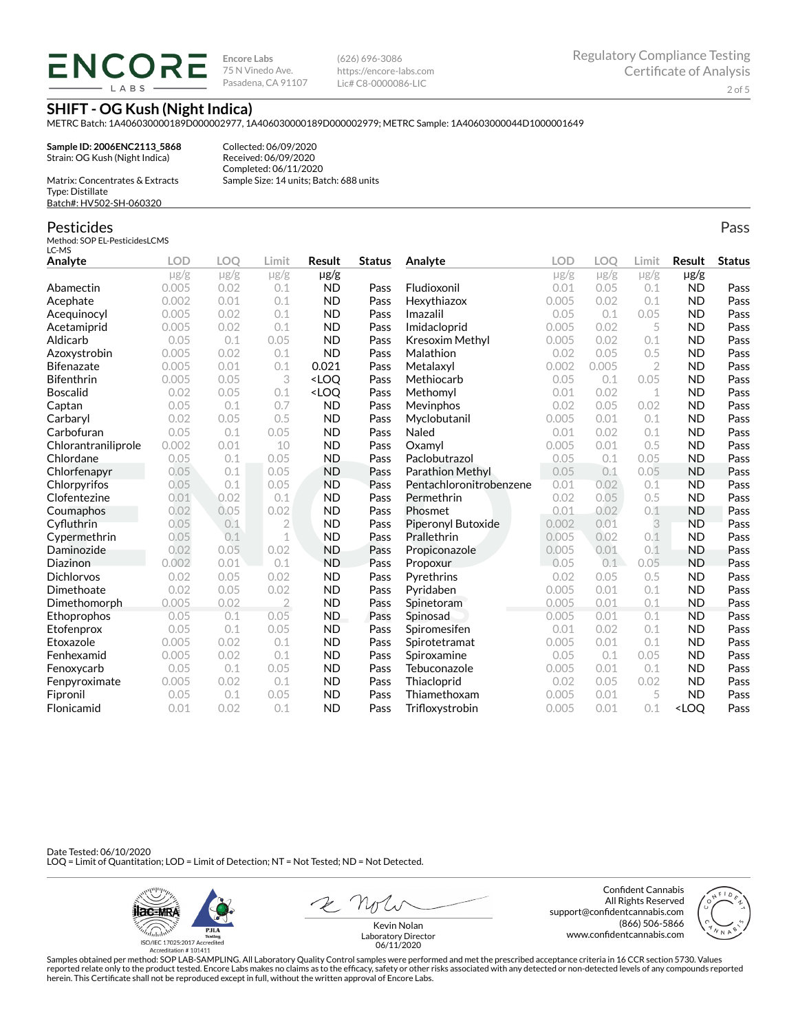## **ENCORE LARS**

**Encore Labs** 75 N Vinedo Ave. Pasadena, CA 91107 (626) 696-3086 https://encore-labs.com Lic# C8-0000086-LIC

**SHIFT - OG Kush (Night Indica)**

METRC Batch: 1A406030000189D000002977, 1A406030000189D000002979; METRC Sample: 1A40603000044D1000001649

**Sample ID: 2006ENC2113\_5868** Strain: OG Kush (Night Indica)

Collected: 06/09/2020 Received: 06/09/2020 Completed: 06/11/2020 Sample Size: 14 units; Batch: 688 units

Matrix: Concentrates & Extracts Type: Distillate Batch#: HV502-SH-060320

#### Pesticides

Method: SOP EL-PesticidesLCMS LC-MS

| Analyte             | <b>LOD</b> | LOO       | Limit          | Result                                                                                                                   | <b>Status</b> | Analyte                 | <b>LOD</b> | LOO       | Limit          | Result                           | <b>Status</b> |
|---------------------|------------|-----------|----------------|--------------------------------------------------------------------------------------------------------------------------|---------------|-------------------------|------------|-----------|----------------|----------------------------------|---------------|
|                     | $\mu$ g/g  | $\mu$ g/g | $\mu$ g/g      | $\mu$ g/g                                                                                                                |               |                         | $\mu$ g/g  | $\mu$ g/g | $\mu$ g/g      | $\mu$ g/g                        |               |
| Abamectin           | 0.005      | 0.02      | 0.1            | <b>ND</b>                                                                                                                | Pass          | Fludioxonil             | 0.01       | 0.05      | 0.1            | <b>ND</b>                        | Pass          |
| Acephate            | 0.002      | 0.01      | 0.1            | <b>ND</b>                                                                                                                | Pass          | Hexythiazox             | 0.005      | 0.02      | 0.1            | <b>ND</b>                        | Pass          |
| Acequinocyl         | 0.005      | 0.02      | 0.1            | <b>ND</b>                                                                                                                | Pass          | Imazalil                | 0.05       | 0.1       | 0.05           | <b>ND</b>                        | Pass          |
| Acetamiprid         | 0.005      | 0.02      | 0.1            | <b>ND</b>                                                                                                                | Pass          | Imidacloprid            | 0.005      | 0.02      | 5              | <b>ND</b>                        | Pass          |
| Aldicarb            | 0.05       | 0.1       | 0.05           | <b>ND</b>                                                                                                                | Pass          | Kresoxim Methyl         | 0.005      | 0.02      | 0.1            | <b>ND</b>                        | Pass          |
| Azoxystrobin        | 0.005      | 0.02      | 0.1            | <b>ND</b>                                                                                                                | Pass          | Malathion               | 0.02       | 0.05      | 0.5            | <b>ND</b>                        | Pass          |
| <b>Bifenazate</b>   | 0.005      | 0.01      | 0.1            | 0.021                                                                                                                    | Pass          | Metalaxyl               | 0.002      | 0.005     | $\overline{2}$ | <b>ND</b>                        | Pass          |
| <b>Bifenthrin</b>   | 0.005      | 0.05      | 3              | <loq< td=""><td>Pass</td><td>Methiocarb</td><td>0.05</td><td>0.1</td><td>0.05</td><td><b>ND</b></td><td>Pass</td></loq<> | Pass          | Methiocarb              | 0.05       | 0.1       | 0.05           | <b>ND</b>                        | Pass          |
| <b>Boscalid</b>     | 0.02       | 0.05      | 0.1            | <loq< td=""><td>Pass</td><td>Methomyl</td><td>0.01</td><td>0.02</td><td>1</td><td><b>ND</b></td><td>Pass</td></loq<>     | Pass          | Methomyl                | 0.01       | 0.02      | 1              | <b>ND</b>                        | Pass          |
| Captan              | 0.05       | 0.1       | 0.7            | <b>ND</b>                                                                                                                | Pass          | Mevinphos               | 0.02       | 0.05      | 0.02           | <b>ND</b>                        | Pass          |
| Carbaryl            | 0.02       | 0.05      | 0.5            | <b>ND</b>                                                                                                                | Pass          | Myclobutanil            | 0.005      | 0.01      | 0.1            | <b>ND</b>                        | Pass          |
| Carbofuran          | 0.05       | 0.1       | 0.05           | <b>ND</b>                                                                                                                | Pass          | Naled                   | 0.01       | 0.02      | 0.1            | <b>ND</b>                        | Pass          |
| Chlorantraniliprole | 0.002      | 0.01      | 10             | <b>ND</b>                                                                                                                | Pass          | Oxamyl                  | 0.005      | 0.01      | 0.5            | <b>ND</b>                        | Pass          |
| Chlordane           | 0.05       | 0.1       | 0.05           | <b>ND</b>                                                                                                                | Pass          | Paclobutrazol           | 0.05       | 0.1       | 0.05           | <b>ND</b>                        | Pass          |
| Chlorfenapyr        | 0.05       | 0.1       | 0.05           | <b>ND</b>                                                                                                                | Pass          | Parathion Methyl        | 0.05       | 0.1       | 0.05           | <b>ND</b>                        | Pass          |
| Chlorpyrifos        | 0.05       | 0.1       | 0.05           | <b>ND</b>                                                                                                                | Pass          | Pentachloronitrobenzene | 0.01       | 0.02      | 0.1            | <b>ND</b>                        | Pass          |
| Clofentezine        | 0.01       | 0.02      | 0.1            | <b>ND</b>                                                                                                                | Pass          | Permethrin              | 0.02       | 0.05      | 0.5            | <b>ND</b>                        | Pass          |
| Coumaphos           | 0.02       | 0.05      | 0.02           | <b>ND</b>                                                                                                                | Pass          | Phosmet                 | 0.01       | 0.02      | 0.1            | <b>ND</b>                        | Pass          |
| Cyfluthrin          | 0.05       | 0.1       | $\overline{2}$ | <b>ND</b>                                                                                                                | Pass          | Piperonyl Butoxide      | 0.002      | 0.01      | 3              | <b>ND</b>                        | Pass          |
| Cypermethrin        | 0.05       | 0.1       | $\mathbf 1$    | <b>ND</b>                                                                                                                | Pass          | Prallethrin             | 0.005      | 0.02      | 0.1            | <b>ND</b>                        | Pass          |
| Daminozide          | 0.02       | 0.05      | 0.02           | <b>ND</b>                                                                                                                | Pass          | Propiconazole           | 0.005      | 0.01      | 0.1            | <b>ND</b>                        | Pass          |
| Diazinon            | 0.002      | 0.01      | 0.1            | <b>ND</b>                                                                                                                | Pass          | Propoxur                | 0.05       | 0.1       | 0.05           | <b>ND</b>                        | Pass          |
| <b>Dichlorvos</b>   | 0.02       | 0.05      | 0.02           | <b>ND</b>                                                                                                                | Pass          | Pyrethrins              | 0.02       | 0.05      | 0.5            | <b>ND</b>                        | Pass          |
| Dimethoate          | 0.02       | 0.05      | 0.02           | <b>ND</b>                                                                                                                | Pass          | Pyridaben               | 0.005      | 0.01      | 0.1            | <b>ND</b>                        | Pass          |
| Dimethomorph        | 0.005      | 0.02      | $\overline{2}$ | <b>ND</b>                                                                                                                | Pass          | Spinetoram              | 0.005      | 0.01      | 0.1            | <b>ND</b>                        | Pass          |
| Ethoprophos         | 0.05       | 0.1       | 0.05           | ND.                                                                                                                      | Pass          | Spinosad                | 0.005      | 0.01      | 0.1            | <b>ND</b>                        | Pass          |
| Etofenprox          | 0.05       | 0.1       | 0.05           | <b>ND</b>                                                                                                                | Pass          | Spiromesifen            | 0.01       | 0.02      | 0.1            | <b>ND</b>                        | Pass          |
| Etoxazole           | 0.005      | 0.02      | 0.1            | <b>ND</b>                                                                                                                | Pass          | Spirotetramat           | 0.005      | 0.01      | 0.1            | <b>ND</b>                        | Pass          |
| Fenhexamid          | 0.005      | 0.02      | 0.1            | <b>ND</b>                                                                                                                | Pass          | Spiroxamine             | 0.05       | 0.1       | 0.05           | <b>ND</b>                        | Pass          |
| Fenoxycarb          | 0.05       | 0.1       | 0.05           | <b>ND</b>                                                                                                                | Pass          | Tebuconazole            | 0.005      | 0.01      | 0.1            | <b>ND</b>                        | Pass          |
| Fenpyroximate       | 0.005      | 0.02      | 0.1            | <b>ND</b>                                                                                                                | Pass          | Thiacloprid             | 0.02       | 0.05      | 0.02           | <b>ND</b>                        | Pass          |
| Fipronil            | 0.05       | 0.1       | 0.05           | <b>ND</b>                                                                                                                | Pass          | Thiamethoxam            | 0.005      | 0.01      | 5              | <b>ND</b>                        | Pass          |
| Flonicamid          | 0.01       | 0.02      | 0.1            | <b>ND</b>                                                                                                                | Pass          | Trifloxystrobin         | 0.005      | 0.01      | 0.1            | <loo< td=""><td>Pass</td></loo<> | Pass          |

Date Tested: 06/10/2020 LOQ = Limit of Quantitation; LOD = Limit of Detection; NT = Not Tested; ND = Not Detected.



Confident Cannabis All Rights Reserved support@confidentcannabis.com (866) 506-5866 www.confidentcannabis.com



Kevin Nolan Laboratory Director 06/11/2020

Samples obtained per method: SOP LAB-SAMPLING. All Laboratory Quality Control samples were performed and met the prescribed acceptance criteria in 16 CCR section 5730. Values reported relate only to the product tested. Encore Labs makes no claims as to the efficacy, safety or other risks associated with any detected or non-detected levels of any compounds reported<br>herein. This Certificate shall

Pass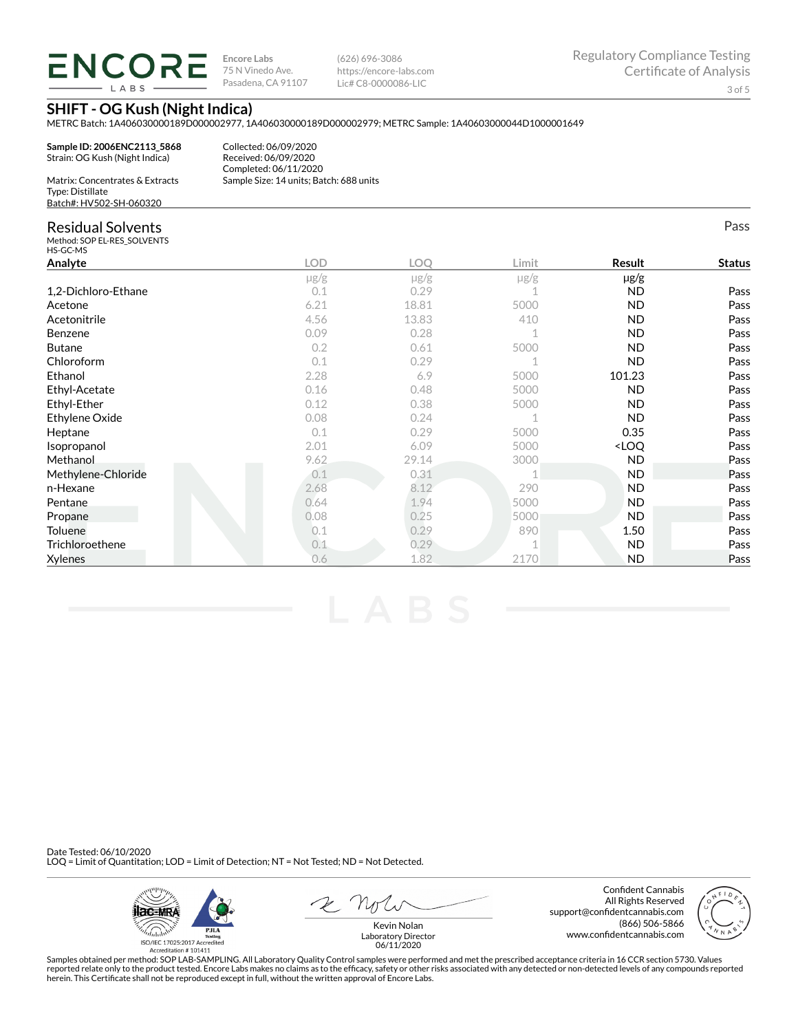## **ENCORE LARS**

**Encore Labs** 75 N Vinedo Ave. Pasadena, CA 91107 (626) 696-3086 https://encore-labs.com Lic# C8-0000086-LIC

Pass

#### **SHIFT - OG Kush (Night Indica)**

METRC Batch: 1A406030000189D000002977, 1A406030000189D000002979; METRC Sample: 1A40603000044D1000001649

**Sample ID: 2006ENC2113\_5868** Strain: OG Kush (Night Indica)

Collected: 06/09/2020 Received: 06/09/2020 Completed: 06/11/2020 Sample Size: 14 units; Batch: 688 units

| Matrix: Concentrates & Extracts |
|---------------------------------|
| Type: Distillate                |
| Batch#: HV502-SH-060320         |

#### Residual Solvents

Method: SOP EL-RES\_SOLVENTS HS-GC-MS

| HS-GC-MS            |            |           |       |                                  |               |
|---------------------|------------|-----------|-------|----------------------------------|---------------|
| Analyte             | <b>LOD</b> | LOQ       | Limit | Result                           | <b>Status</b> |
|                     | $\mu$ g/g  | $\mu$ g/g | µg/g  | $\mu$ g/g                        |               |
| 1,2-Dichloro-Ethane | 0.1        | 0.29      |       | <b>ND</b>                        | Pass          |
| Acetone             | 6.21       | 18.81     | 5000  | <b>ND</b>                        | Pass          |
| Acetonitrile        | 4.56       | 13.83     | 410   | <b>ND</b>                        | Pass          |
| Benzene             | 0.09       | 0.28      |       | <b>ND</b>                        | Pass          |
| <b>Butane</b>       | 0.2        | 0.61      | 5000  | <b>ND</b>                        | Pass          |
| Chloroform          | 0.1        | 0.29      |       | <b>ND</b>                        | Pass          |
| Ethanol             | 2.28       | 6.9       | 5000  | 101.23                           | Pass          |
| Ethyl-Acetate       | 0.16       | 0.48      | 5000  | <b>ND</b>                        | Pass          |
| Ethyl-Ether         | 0.12       | 0.38      | 5000  | <b>ND</b>                        | Pass          |
| Ethylene Oxide      | 0.08       | 0.24      |       | <b>ND</b>                        | Pass          |
| Heptane             | 0.1        | 0.29      | 5000  | 0.35                             | Pass          |
| Isopropanol         | 2.01       | 6.09      | 5000  | <loq< td=""><td>Pass</td></loq<> | Pass          |
| Methanol            | 9.62       | 29.14     | 3000  | <b>ND</b>                        | Pass          |
| Methylene-Chloride  | 0.1        | 0.31      |       | <b>ND</b>                        | Pass          |
| n-Hexane            | 2.68       | 8.12      | 290   | <b>ND</b>                        | Pass          |
| Pentane             | 0.64       | 1.94      | 5000  | <b>ND</b>                        | Pass          |
| Propane             | 0.08       | 0.25      | 5000  | ND.                              | Pass          |
| Toluene             | 0.1        | 0.29      | 890   | 1.50                             | Pass          |
| Trichloroethene     | 0.1        | 0.29      |       | ND.                              | Pass          |
| <b>Xylenes</b>      | 0.6        | 1.82      | 2170  | <b>ND</b>                        | Pass          |

Date Tested: 06/10/2020 LOQ = Limit of Quantitation; LOD = Limit of Detection; NT = Not Tested; ND = Not Detected.

**ilac-MRA PJLA** alaha<sup>ha</sup> ISO/IEC 17025:2017 Ac redited Accreditation #101411

 $2$   $n_{\text{U}}$ 

Confident Cannabis All Rights Reserved support@confidentcannabis.com (866) 506-5866 www.confidentcannabis.com



Kevin Nolan Laboratory Director 06/11/2020

Samples obtained per method: SOP LAB-SAMPLING. All Laboratory Quality Control samples were performed and met the prescribed acceptance criteria in 16 CCR section 5730. Values reported relate only to the product tested. Encore Labs makes no claims as to the efficacy, safety or other risks associated with any detected or non-detected levels of any compounds reported<br>herein. This Certificate shall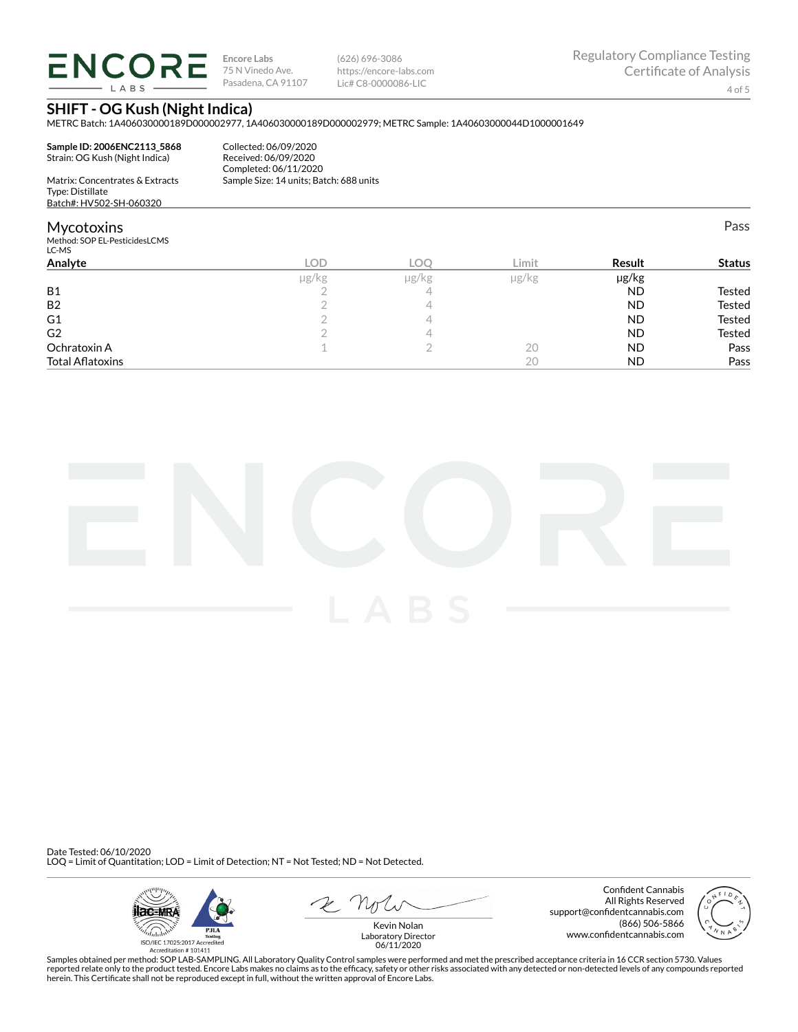**ENCORE LARS** 

**Encore Labs** 75 N Vinedo Ave. Pasadena, CA 91107 (626) 696-3086 https://encore-labs.com Lic# C8-0000086-LIC

Pass

#### **SHIFT - OG Kush (Night Indica)**

METRC Batch: 1A406030000189D000002977, 1A406030000189D000002979; METRC Sample: 1A40603000044D1000001649

**Sample ID: 2006ENC2113\_5868** Strain: OG Kush (Night Indica) Matrix: Concentrates & Extracts

Collected: 06/09/2020 Received: 06/09/2020 Completed: 06/11/2020 Sample Size: 14 units; Batch: 688 units

Type: Distillate Batch#: HV502-SH-060320

#### **Mycotoxins**

Method: SOP EL-PesticidesLCMS LC-MS

| <b>LOD</b> | <b>LOC</b> | Limit         | Result    | <b>Status</b> |
|------------|------------|---------------|-----------|---------------|
| µg/kg      | µg/kg      | $\mu$ g/ $kg$ | µg/kg     |               |
|            |            |               | <b>ND</b> | Tested        |
|            |            |               | <b>ND</b> | Tested        |
|            |            |               | <b>ND</b> | Tested        |
|            |            |               | <b>ND</b> | Tested        |
|            |            | 20            | <b>ND</b> | Pass          |
|            |            | 20            | <b>ND</b> | Pass          |
|            |            |               |           |               |



Date Tested: 06/10/2020 LOQ = Limit of Quantitation; LOD = Limit of Detection; NT = Not Tested; ND = Not Detected.



Confident Cannabis All Rights Reserved support@confidentcannabis.com (866) 506-5866 www.confidentcannabis.com



Kevin Nolan Laboratory Director 06/11/2020

Samples obtained per method: SOP LAB-SAMPLING. All Laboratory Quality Control samples were performed and met the prescribed acceptance criteria in 16 CCR section 5730. Values reported relate only to the product tested. Encore Labs makes no claims as to the efficacy, safety or other risks associated with any detected or non-detected levels of any compounds reported<br>herein. This Certificate shall